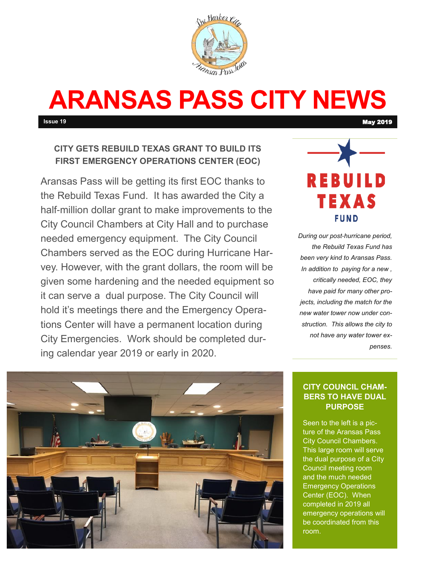

# **ARANSAS PASS CITY NEWS**

**Issue 19** May 2019

# **CITY GETS REBUILD TEXAS GRANT TO BUILD ITS FIRST EMERGENCY OPERATIONS CENTER (EOC)**

Aransas Pass will be getting its first EOC thanks to the Rebuild Texas Fund. It has awarded the City a half-million dollar grant to make improvements to the City Council Chambers at City Hall and to purchase needed emergency equipment. The City Council Chambers served as the EOC during Hurricane Harvey. However, with the grant dollars, the room will be given some hardening and the needed equipment so it can serve a dual purpose. The City Council will hold it's meetings there and the Emergency Operations Center will have a permanent location during City Emergencies. Work should be completed during calendar year 2019 or early in 2020.



*During our post-hurricane period, the Rebuild Texas Fund has been very kind to Aransas Pass. In addition to paying for a new , critically needed, EOC, they have paid for many other projects, including the match for the new water tower now under construction. This allows the city to not have any water tower expenses.* 



## **CITY COUNCIL CHAM-BERS TO HAVE DUAL PURPOSE**

Seen to the left is a picture of the Aransas Pass City Council Chambers. This large room will serve the dual purpose of a City Council meeting room and the much needed Emergency Operations Center (EOC). When completed in 2019 all emergency operations will be coordinated from this room.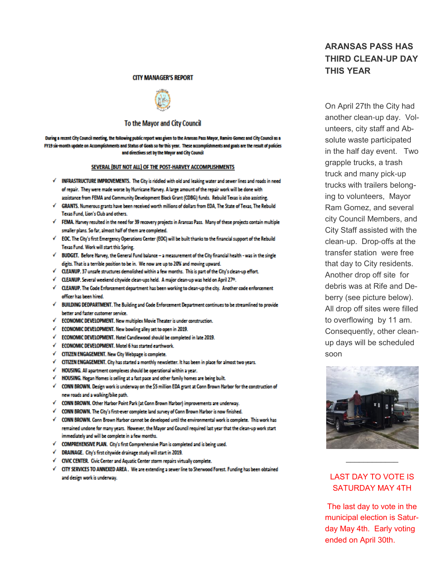#### **CITY MANAGER'S REPORT**



### To the Mayor and City Council

During a recent City Council meeting, the following public report was given to the Aransas Pass Mayor, Ramiro Gomez and City Council as a FY19 six-month update on Accomplishments and Status of Goals so far this year. These accomplishments and goals are the result of policies and directives set by the Mayor and City Council

#### SEVERAL (BUT NOT ALL) OF THE POST-HARVEY ACCOMPLISHMENTS

- / INFRASTRUCTURE IMPROVEMENTS. The City is riddled with old and leaking water and sewer lines and roads in need of repair. They were made worse by Hurricane Harvey. A large amount of the repair work will be done with assistance from FEMA and Community Development Block Grant (CDBG) funds. Rebuild Texas is also assisting.
- GRANTS. Numerous grants have been received worth millions of dollars from EDA, The State of Texas, The Rebuild Texas Fund. Lion's Club and others.
- FEMA. Harvey resulted in the need for 39 recovery projects in Aransas Pass. Many of these projects contain multiple smaller plans. So far, almost half of them are completed.
- EOC. The City's first Emergency Operations Center (EOC) will be built thanks to the financial support of the Rebuild Texas Fund. Work will start this Spring.
- BUDGET. Before Harvey, the General Fund balance a measurement of the City financial health was in the single digits. That is a terrible position to be in. We now are up to 20% and moving upward.
- CLEANUP. 37 unsafe structures demolished within a few months. This is part of the City's clean-up effort.
- CLEANUP. Several weekend citywide clean-ups held. A major clean-up was held on April 27th.
- CLEANUP. The Code Enforcement department has been working to clean-up the city. Another code enforcement officer has been hired.
- BUILDING DEDPARTMENT. The Building and Code Enforcement Department continues to be streamlined to provide better and faster customer service.
- √ ECONOMIC DEVELOPMENT. New multiplex Movie Theater is under construction.
- √ ECONOMIC DEVELOPMENT. New bowling alley set to open in 2019.
- √ ECONOMIC DEVELOPMENT. Hotel Candlewood should be completed in late 2019.
- √ ECONOMIC DEVELOPMENT. Motel 6 has started earthwork.
- √ CITIZEN ENGAGEMENT. New City Webpage is complete.
- CITIZEN ENGAGEMENT. City has started a monthly newsletter. It has been in place for almost two years.
- HOUSING. All apartment complexes should be operational within a year.
- √ HOUSING. Hogan Homes is selling at a fast pace and other family homes are being built.
- √ CONN BROWN. Design work is underway on the \$5 million EDA grant at Conn Brown Harbor for the construction of new roads and a walking/bike path.
- √ CONN BROWN. Other Harbor Point Park (at Conn Brown Harbor) improvements are underway.
- √ CONN BROWN. The City's first-ever complete land survey of Conn Brown Harbor is now finished.
- √ CONN BROWN. Conn Brown Harbor cannot be developed until the environmental work is complete. This work has remained undone for many years. However, the Mayor and Council required last year that the clean-up work start immediately and will be complete in a few months.
- √ COMPREHENSIVE PLAN. City's first Comprehensive Plan is completed and is being used.
- √ DRAINAGE. City's first citywide drainage study will start in 2019.
- CIVIC CENTER. Civic Center and Aquatic Center storm repairs virtually complete.
- CITY SERVICES TO ANNEXED AREA . We are extending a sewer line to Sherwood Forest. Funding has been obtained and design work is underway.

# **ARANSAS PASS HAS THIRD CLEAN-UP DAY THIS YEAR**

On April 27th the City had another clean-up day. Volunteers, city staff and Absolute waste participated in the half day event. Two grapple trucks, a trash truck and many pick-up trucks with trailers belonging to volunteers, Mayor Ram Gomez, and several city Council Members, and City Staff assisted with the clean-up. Drop-offs at the transfer station were free that day to City residents. Another drop off site for debris was at Rife and Deberry (see picture below). All drop off sites were filled to overflowing by 11 am. Consequently, other cleanup days will be scheduled soon



# **LAST DAY TO VOTE IS SATURDAY MAY 4TH**

The last day to vote in the municipal election is Saturday May 4th. Early voting ended on April 30th.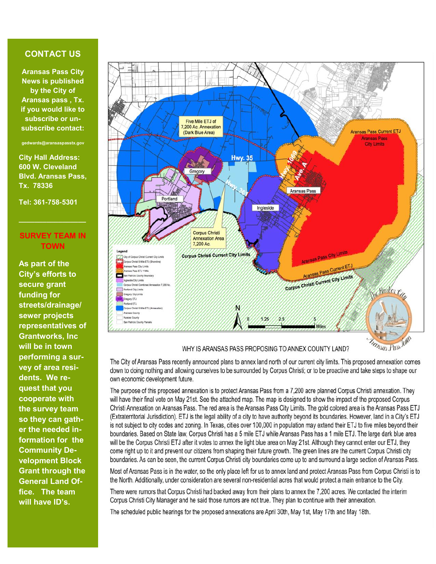## **CONTACT US**

**Aransas Pass City News is published by the City of Aransas pass , Tx. if you would like to subscribe or unsubscribe contact:**

**gedwards@aransaspasstx.gov**

**City Hall Address: 600 W. Cleveland Blvd. Aransas Pass, Tx. 78336**

**Tel: 361-758-5301**

## **SURVEY TEAM IN TOWN**

**\_\_\_\_\_\_\_\_\_\_\_\_\_\_\_\_\_**

**As part of the City's efforts to secure grant funding for streets/drainage/ sewer projects representatives of Grantworks, Inc will be in town performing a survey of area residents. We request that you cooperate with the survey team so they can gather the needed information for the Community Development Block Grant through the General Land Office. The team will have ID's.** 



## WHY IS ARANSAS PASS PROPOSING TO ANNEX COUNTY LAND?

The City of Aransas Pass recently announced plans to annex land north of our current city limits. This proposed annexation comes down to doing nothing and allowing ourselves to be surrounded by Corpus Christi; or to be proactive and take steps to shape our own economic development future.

The purpose of this proposed annexation is to protect Aransas Pass from a 7,200 acre planned Corpus Christi annexation. They will have their final vote on May 21st. See the attached map. The map is designed to show the impact of the proposed Corpus Christi Annexation on Aransas Pass. The red area is the Aransas Pass City Limits. The gold colored area is the Aransas Pass ETJ (Extraterritorial Jurisdiction). ETJ is the legal ability of a city to have authority beyond its boundaries. However, land in a City's ETJ is not subject to city codes and zoning. In Texas, cities over 100,000 in population may extend their ETJ to five miles beyond their boundaries. Based on State law, Corpus Christi has a 5 mile ETJ while Aransas Pass has a 1 mile ETJ. The large dark blue area will be the Corpus Christi ETJ after it votes to annex the light blue area on May 21st. Although they cannot enter our ETJ, they come right up to it and prevent our citizens from shaping their future growth. The green lines are the current Corpus Christi city boundaries. As can be seen, the current Corpus Christi city boundaries come up to and surround a large section of Aransas Pass.

Most of Aransas Pass is in the water, so the only place left for us to annex land and protect Aransas Pass from Corpus Christi is to the North. Additionally, under consideration are several non-residential acres that would protect a main entrance to the City.

There were rumors that Corpus Christi had backed away from their plans to annex the 7,200 acres. We contacted the interim Corpus Christi City Manager and he said those rumors are not true. They plan to continue with their annexation.

The scheduled public hearings for the proposed annexations are April 30th, May 1st, May 17th and May 18th.